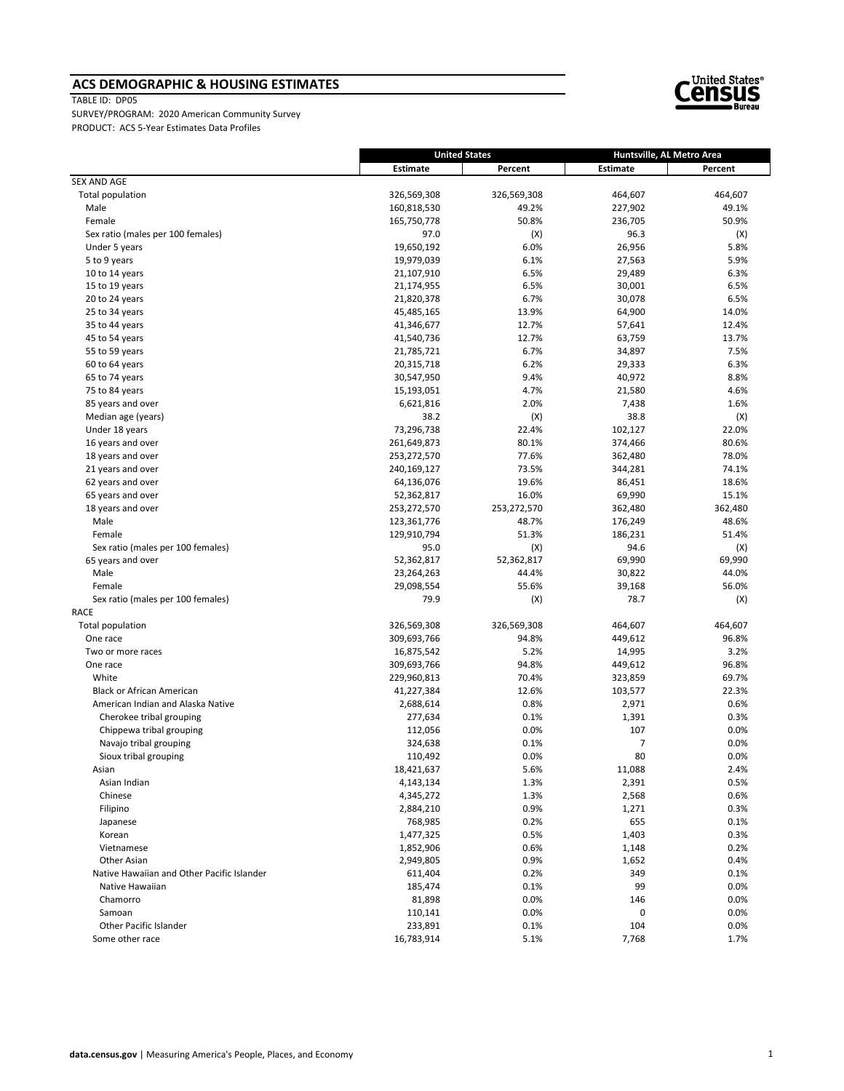### **ACS DEMOGRAPHIC & HOUSING ESTIMATES**

TABLE ID: DP05



|                                            | <b>United States</b> |             | Huntsville, AL Metro Area |         |
|--------------------------------------------|----------------------|-------------|---------------------------|---------|
|                                            | Estimate             | Percent     | Estimate                  | Percent |
| <b>SEX AND AGE</b>                         |                      |             |                           |         |
| Total population                           | 326,569,308          | 326,569,308 | 464,607                   | 464,607 |
| Male                                       | 160,818,530          | 49.2%       | 227,902                   | 49.1%   |
| Female                                     | 165,750,778          | 50.8%       | 236,705                   | 50.9%   |
| Sex ratio (males per 100 females)          | 97.0                 | (X)         | 96.3                      | (X)     |
| Under 5 years                              | 19,650,192           | 6.0%        | 26,956                    | 5.8%    |
| 5 to 9 years                               | 19,979,039           | 6.1%        | 27,563                    | 5.9%    |
| 10 to 14 years                             | 21,107,910           | 6.5%        | 29,489                    | 6.3%    |
| 15 to 19 years                             | 21,174,955           | 6.5%        | 30,001                    | 6.5%    |
| 20 to 24 years                             | 21,820,378           | 6.7%        | 30,078                    | 6.5%    |
| 25 to 34 years                             | 45,485,165           | 13.9%       | 64,900                    | 14.0%   |
| 35 to 44 years                             | 41,346,677           | 12.7%       | 57,641                    | 12.4%   |
| 45 to 54 years                             | 41,540,736           | 12.7%       | 63,759                    | 13.7%   |
| 55 to 59 years                             | 21,785,721           | 6.7%        | 34,897                    | 7.5%    |
| 60 to 64 years                             | 20,315,718           | 6.2%        | 29,333                    | 6.3%    |
| 65 to 74 years                             | 30,547,950           | 9.4%        | 40,972                    | 8.8%    |
| 75 to 84 years                             | 15,193,051           | 4.7%        | 21,580                    | 4.6%    |
| 85 years and over                          | 6,621,816            | 2.0%        | 7,438                     | 1.6%    |
| Median age (years)                         | 38.2                 | (X)         | 38.8                      | (X)     |
| Under 18 years                             | 73,296,738           | 22.4%       | 102,127                   | 22.0%   |
| 16 years and over                          | 261,649,873          | 80.1%       | 374,466                   | 80.6%   |
| 18 years and over                          | 253,272,570          | 77.6%       | 362,480                   | 78.0%   |
| 21 years and over                          | 240,169,127          | 73.5%       | 344,281                   | 74.1%   |
| 62 years and over                          | 64,136,076           | 19.6%       | 86,451                    | 18.6%   |
| 65 years and over                          | 52,362,817           | 16.0%       | 69,990                    | 15.1%   |
| 18 years and over                          | 253,272,570          | 253,272,570 | 362,480                   | 362,480 |
| Male                                       | 123,361,776          | 48.7%       | 176,249                   | 48.6%   |
| Female                                     | 129,910,794          | 51.3%       | 186,231                   | 51.4%   |
| Sex ratio (males per 100 females)          | 95.0                 | (X)         | 94.6                      | (X)     |
| 65 years and over                          | 52,362,817           | 52,362,817  | 69,990                    | 69,990  |
| Male                                       | 23,264,263           | 44.4%       | 30,822                    | 44.0%   |
| Female                                     | 29,098,554           | 55.6%       | 39,168                    | 56.0%   |
| Sex ratio (males per 100 females)          | 79.9                 | (X)         | 78.7                      | (X)     |
| <b>RACE</b>                                |                      |             |                           |         |
| Total population                           | 326,569,308          | 326,569,308 | 464,607                   | 464,607 |
| One race                                   | 309,693,766          | 94.8%       | 449,612                   | 96.8%   |
| Two or more races                          | 16,875,542           | 5.2%        | 14,995                    | 3.2%    |
| One race                                   | 309,693,766          | 94.8%       | 449,612                   | 96.8%   |
| White                                      | 229,960,813          | 70.4%       | 323,859                   | 69.7%   |
| <b>Black or African American</b>           | 41,227,384           | 12.6%       | 103,577                   | 22.3%   |
| American Indian and Alaska Native          | 2,688,614            | 0.8%        | 2,971                     | 0.6%    |
| Cherokee tribal grouping                   | 277,634              | 0.1%        | 1,391                     | 0.3%    |
| Chippewa tribal grouping                   | 112,056              | 0.0%        | 107                       | 0.0%    |
| Navajo tribal grouping                     | 324,638              | 0.1%        | $\overline{7}$            | 0.0%    |
| Sioux tribal grouping                      | 110,492              | 0.0%        | 80                        | 0.0%    |
| Asian                                      | 18,421,637           | 5.6%        | 11,088                    | 2.4%    |
| Asian Indian                               | 4,143,134            | 1.3%        | 2,391                     | 0.5%    |
| Chinese                                    | 4,345,272            | 1.3%        | 2,568                     | 0.6%    |
| Filipino                                   | 2,884,210            | 0.9%        | 1,271                     | 0.3%    |
| Japanese                                   | 768,985              | 0.2%        | 655                       | 0.1%    |
| Korean                                     | 1,477,325            | 0.5%        | 1,403                     | 0.3%    |
| Vietnamese                                 | 1,852,906            | 0.6%        | 1,148                     | 0.2%    |
| Other Asian                                | 2,949,805            | 0.9%        | 1,652                     | 0.4%    |
| Native Hawaiian and Other Pacific Islander | 611,404              | 0.2%        | 349                       | 0.1%    |
| Native Hawaiian                            | 185,474              | 0.1%        | 99                        | 0.0%    |
| Chamorro                                   | 81,898               | 0.0%        | 146                       | 0.0%    |
| Samoan                                     | 110,141              | 0.0%        | 0                         | 0.0%    |
| Other Pacific Islander                     | 233,891              | 0.1%        | 104                       | 0.0%    |
| Some other race                            | 16,783,914           | 5.1%        | 7,768                     | 1.7%    |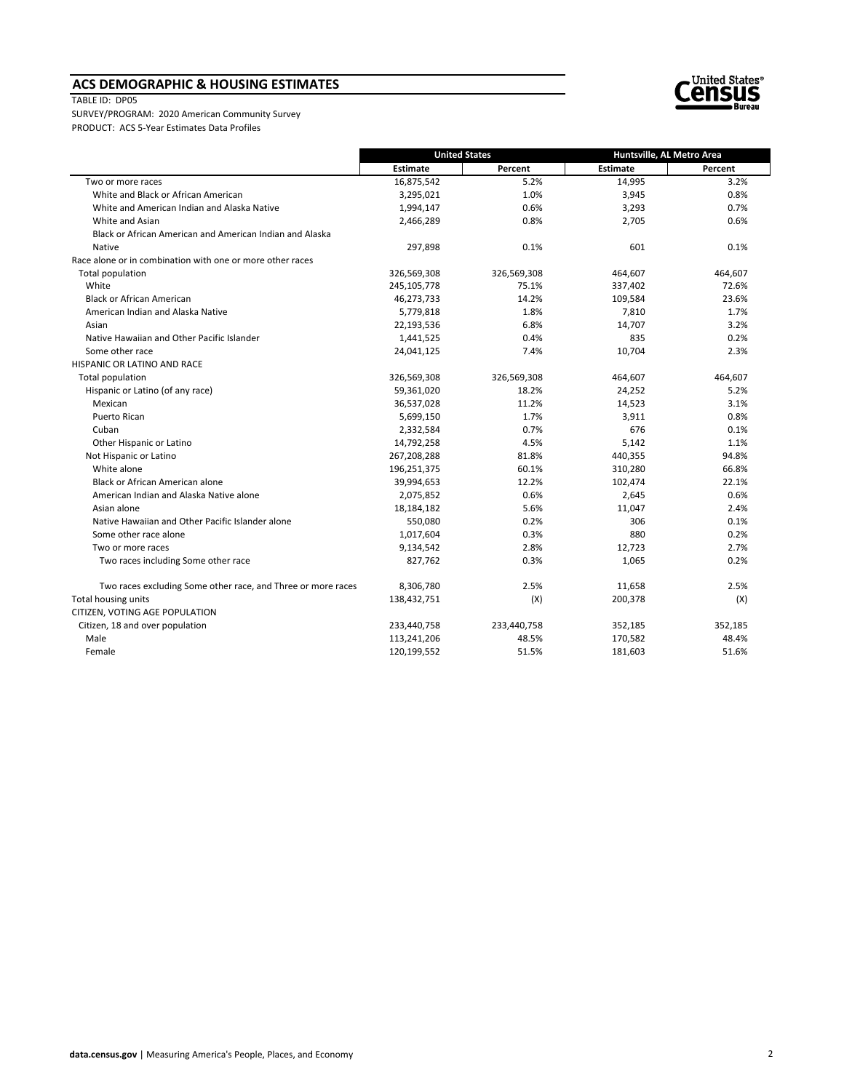### **ACS DEMOGRAPHIC & HOUSING ESTIMATES**

#### TABLE ID: DP05



|                                                              | <b>United States</b> |             | Huntsville, AL Metro Area |         |
|--------------------------------------------------------------|----------------------|-------------|---------------------------|---------|
|                                                              | <b>Estimate</b>      | Percent     | Estimate                  | Percent |
| Two or more races                                            | 16,875,542           | 5.2%        | 14,995                    | 3.2%    |
| White and Black or African American                          | 3,295,021            | 1.0%        | 3,945                     | 0.8%    |
| White and American Indian and Alaska Native                  | 1,994,147            | 0.6%        | 3,293                     | 0.7%    |
| White and Asian                                              | 2,466,289            | 0.8%        | 2,705                     | 0.6%    |
| Black or African American and American Indian and Alaska     |                      |             |                           |         |
| Native                                                       | 297,898              | 0.1%        | 601                       | 0.1%    |
| Race alone or in combination with one or more other races    |                      |             |                           |         |
| Total population                                             | 326,569,308          | 326,569,308 | 464,607                   | 464,607 |
| White                                                        | 245,105,778          | 75.1%       | 337,402                   | 72.6%   |
| <b>Black or African American</b>                             | 46,273,733           | 14.2%       | 109,584                   | 23.6%   |
| American Indian and Alaska Native                            | 5,779,818            | 1.8%        | 7,810                     | 1.7%    |
| Asian                                                        | 22,193,536           | 6.8%        | 14,707                    | 3.2%    |
| Native Hawaiian and Other Pacific Islander                   | 1,441,525            | 0.4%        | 835                       | 0.2%    |
| Some other race                                              | 24,041,125           | 7.4%        | 10,704                    | 2.3%    |
| HISPANIC OR LATINO AND RACE                                  |                      |             |                           |         |
| Total population                                             | 326,569,308          | 326,569,308 | 464,607                   | 464,607 |
| Hispanic or Latino (of any race)                             | 59,361,020           | 18.2%       | 24,252                    | 5.2%    |
| Mexican                                                      | 36,537,028           | 11.2%       | 14,523                    | 3.1%    |
| <b>Puerto Rican</b>                                          | 5,699,150            | 1.7%        | 3,911                     | 0.8%    |
| Cuban                                                        | 2,332,584            | 0.7%        | 676                       | 0.1%    |
| Other Hispanic or Latino                                     | 14,792,258           | 4.5%        | 5,142                     | 1.1%    |
| Not Hispanic or Latino                                       | 267,208,288          | 81.8%       | 440,355                   | 94.8%   |
| White alone                                                  | 196,251,375          | 60.1%       | 310,280                   | 66.8%   |
| Black or African American alone                              | 39,994,653           | 12.2%       | 102,474                   | 22.1%   |
| American Indian and Alaska Native alone                      | 2,075,852            | 0.6%        | 2,645                     | 0.6%    |
| Asian alone                                                  | 18,184,182           | 5.6%        | 11,047                    | 2.4%    |
| Native Hawaiian and Other Pacific Islander alone             | 550,080              | 0.2%        | 306                       | 0.1%    |
| Some other race alone                                        | 1,017,604            | 0.3%        | 880                       | 0.2%    |
| Two or more races                                            | 9,134,542            | 2.8%        | 12,723                    | 2.7%    |
| Two races including Some other race                          | 827,762              | 0.3%        | 1,065                     | 0.2%    |
| Two races excluding Some other race, and Three or more races | 8,306,780            | 2.5%        | 11,658                    | 2.5%    |
| Total housing units                                          | 138,432,751          | (X)         | 200,378                   | (X)     |
| CITIZEN, VOTING AGE POPULATION                               |                      |             |                           |         |
| Citizen, 18 and over population                              | 233,440,758          | 233,440,758 | 352,185                   | 352,185 |
| Male                                                         | 113,241,206          | 48.5%       | 170,582                   | 48.4%   |
| Female                                                       | 120,199,552          | 51.5%       | 181,603                   | 51.6%   |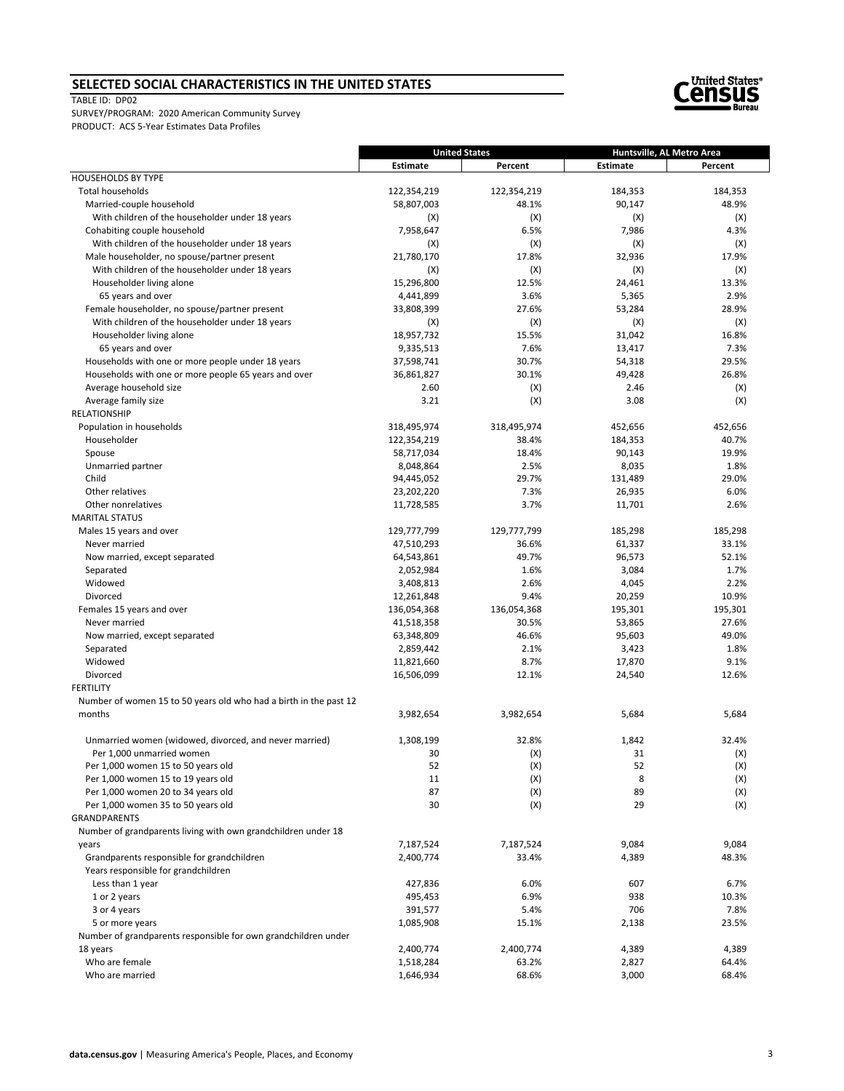#### **SELECTED SOCIAL CHARACTERISTICS IN THE UNITED STATES**

#### TABLE ID: DP02



|                                                                   | <b>United States</b> |             | Huntsville, AL Metro Area |         |
|-------------------------------------------------------------------|----------------------|-------------|---------------------------|---------|
|                                                                   | Estimate             | Percent     | Estimate                  | Percent |
| <b>HOUSEHOLDS BY TYPE</b>                                         |                      |             |                           |         |
| <b>Total households</b>                                           | 122,354,219          | 122,354,219 | 184,353                   | 184,353 |
| Married-couple household                                          | 58,807,003           | 48.1%       | 90,147                    | 48.9%   |
| With children of the householder under 18 years                   | (X)                  | (X)         | (X)                       | (X)     |
| Cohabiting couple household                                       | 7,958,647            | 6.5%        | 7,986                     | 4.3%    |
| With children of the householder under 18 years                   | (X)                  | (X)         | (X)                       | (X)     |
| Male householder, no spouse/partner present                       | 21,780,170           | 17.8%       | 32,936                    | 17.9%   |
| With children of the householder under 18 years                   | (X)                  | (X)         | (X)                       | (X)     |
| Householder living alone                                          | 15,296,800           | 12.5%       | 24,461                    | 13.3%   |
| 65 years and over                                                 | 4,441,899            | 3.6%        | 5,365                     | 2.9%    |
| Female householder, no spouse/partner present                     | 33,808,399           | 27.6%       | 53,284                    | 28.9%   |
| With children of the householder under 18 years                   | (X)                  | (X)         | (X)                       | (X)     |
| Householder living alone                                          | 18,957,732           | 15.5%       | 31,042                    | 16.8%   |
| 65 years and over                                                 | 9,335,513            | 7.6%        | 13,417                    | 7.3%    |
| Households with one or more people under 18 years                 | 37,598,741           | 30.7%       | 54,318                    | 29.5%   |
| Households with one or more people 65 years and over              | 36,861,827           | 30.1%       | 49,428                    | 26.8%   |
| Average household size                                            | 2.60                 | (X)         | 2.46                      | (X)     |
| Average family size                                               | 3.21                 | (X)         | 3.08                      | (X)     |
| <b>RELATIONSHIP</b>                                               |                      |             |                           |         |
| Population in households                                          | 318,495,974          | 318,495,974 | 452,656                   | 452,656 |
| Householder                                                       | 122,354,219          | 38.4%       | 184,353                   | 40.7%   |
| Spouse                                                            | 58,717,034           | 18.4%       | 90,143                    | 19.9%   |
| Unmarried partner                                                 | 8,048,864            | 2.5%        | 8,035                     | 1.8%    |
| Child                                                             | 94,445,052           | 29.7%       | 131,489                   | 29.0%   |
| Other relatives                                                   | 23,202,220           | 7.3%        | 26,935                    | 6.0%    |
| Other nonrelatives                                                | 11,728,585           | 3.7%        | 11,701                    | 2.6%    |
| <b>MARITAL STATUS</b>                                             |                      |             |                           |         |
| Males 15 years and over                                           | 129,777,799          | 129,777,799 | 185,298                   | 185,298 |
| Never married                                                     | 47,510,293           | 36.6%       | 61,337                    | 33.1%   |
| Now married, except separated                                     | 64,543,861           | 49.7%       | 96,573                    | 52.1%   |
| Separated                                                         | 2,052,984            | 1.6%        | 3,084                     | 1.7%    |
| Widowed                                                           | 3,408,813            | 2.6%        | 4,045                     | 2.2%    |
| Divorced                                                          | 12,261,848           | 9.4%        | 20,259                    | 10.9%   |
| Females 15 years and over                                         | 136,054,368          | 136,054,368 | 195,301                   | 195,301 |
| Never married                                                     | 41,518,358           | 30.5%       | 53,865                    | 27.6%   |
| Now married, except separated                                     | 63,348,809           | 46.6%       | 95,603                    | 49.0%   |
| Separated                                                         | 2,859,442            | 2.1%        | 3,423                     | 1.8%    |
| Widowed                                                           | 11,821,660           | 8.7%        | 17,870                    | 9.1%    |
| Divorced                                                          | 16,506,099           | 12.1%       | 24,540                    | 12.6%   |
| FERTILITY                                                         |                      |             |                           |         |
| Number of women 15 to 50 years old who had a birth in the past 12 |                      |             |                           |         |
| months                                                            | 3,982,654            | 3,982,654   | 5,684                     | 5,684   |
|                                                                   |                      |             |                           |         |
| Unmarried women (widowed, divorced, and never married)            | 1,308,199            | 32.8%       | 1,842                     | 32.4%   |
| Per 1.000 unmarried women                                         | 30                   | (X)         | 31                        | (X)     |
| Per 1,000 women 15 to 50 years old                                | 52                   | (X)         | 52                        | (X)     |
| Per 1,000 women 15 to 19 years old                                | 11                   | (X)         | 8                         | (X)     |
| Per 1,000 women 20 to 34 years old                                | 87                   | (X)         | 89                        | (X)     |
| Per 1,000 women 35 to 50 years old                                | 30                   | (X)         | 29                        | (X)     |
| <b>GRANDPARENTS</b>                                               |                      |             |                           |         |
| Number of grandparents living with own grandchildren under 18     |                      |             |                           |         |
| years                                                             | 7,187,524            | 7,187,524   | 9,084                     | 9,084   |
| Grandparents responsible for grandchildren                        | 2,400,774            | 33.4%       | 4,389                     | 48.3%   |
| Years responsible for grandchildren                               |                      |             |                           |         |
| Less than 1 year                                                  | 427,836              | 6.0%        | 607                       | 6.7%    |
| 1 or 2 years                                                      | 495,453              | 6.9%        | 938                       | 10.3%   |
| 3 or 4 years                                                      | 391,577              | 5.4%        | 706                       | 7.8%    |
| 5 or more years                                                   | 1,085,908            | 15.1%       | 2,138                     | 23.5%   |
| Number of grandparents responsible for own grandchildren under    |                      |             |                           |         |
| 18 years                                                          | 2,400,774            | 2,400,774   | 4,389                     | 4,389   |
| Who are female                                                    | 1,518,284            | 63.2%       | 2,827                     | 64.4%   |
| Who are married                                                   | 1,646,934            | 68.6%       | 3,000                     | 68.4%   |
|                                                                   |                      |             |                           |         |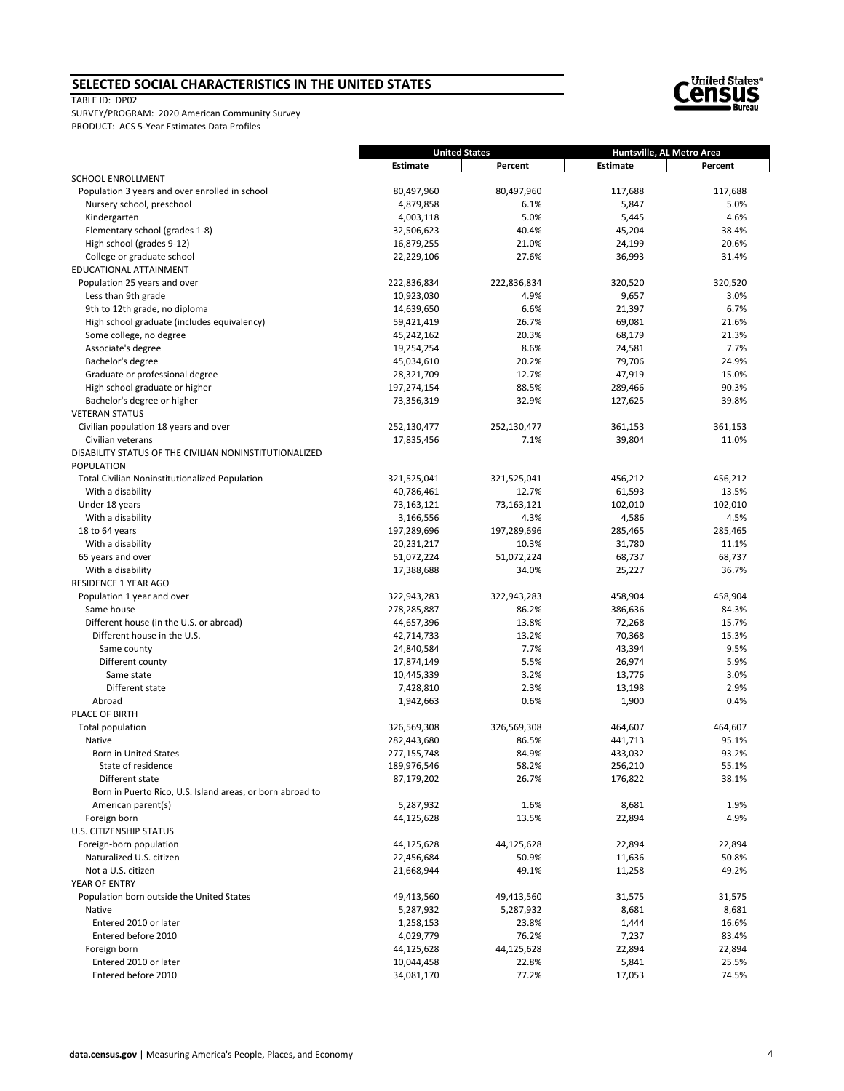#### **SELECTED SOCIAL CHARACTERISTICS IN THE UNITED STATES**

TABLE ID: DP02



|                                                           |                          | <b>United States</b> |                                       |                 |
|-----------------------------------------------------------|--------------------------|----------------------|---------------------------------------|-----------------|
|                                                           | <b>Estimate</b>          | Percent              | Huntsville, AL Metro Area<br>Estimate | Percent         |
| SCHOOL ENROLLMENT                                         |                          |                      |                                       |                 |
| Population 3 years and over enrolled in school            | 80,497,960               | 80,497,960           | 117,688                               | 117,688         |
| Nursery school, preschool                                 | 4,879,858                | 6.1%                 | 5,847                                 | 5.0%            |
| Kindergarten                                              | 4,003,118                | 5.0%                 | 5,445                                 | 4.6%            |
| Elementary school (grades 1-8)                            | 32,506,623               | 40.4%                | 45,204                                | 38.4%           |
| High school (grades 9-12)                                 | 16,879,255               | 21.0%                | 24,199                                | 20.6%           |
| College or graduate school                                | 22,229,106               | 27.6%                | 36,993                                | 31.4%           |
| EDUCATIONAL ATTAINMENT                                    |                          |                      |                                       |                 |
| Population 25 years and over                              | 222,836,834              | 222,836,834          | 320,520                               | 320,520         |
| Less than 9th grade                                       | 10,923,030               | 4.9%                 | 9,657                                 | 3.0%            |
| 9th to 12th grade, no diploma                             | 14,639,650               | 6.6%                 | 21,397                                | 6.7%            |
| High school graduate (includes equivalency)               | 59,421,419               | 26.7%                | 69,081                                | 21.6%           |
| Some college, no degree                                   | 45,242,162               | 20.3%                | 68,179                                | 21.3%           |
| Associate's degree                                        | 19,254,254               | 8.6%                 | 24,581                                | 7.7%            |
| Bachelor's degree                                         | 45,034,610               | 20.2%                | 79,706                                | 24.9%           |
| Graduate or professional degree                           | 28,321,709               | 12.7%                | 47,919                                | 15.0%           |
| High school graduate or higher                            | 197,274,154              | 88.5%                | 289,466                               | 90.3%           |
| Bachelor's degree or higher                               | 73,356,319               | 32.9%                | 127,625                               | 39.8%           |
| <b>VETERAN STATUS</b>                                     |                          |                      |                                       |                 |
| Civilian population 18 years and over                     | 252,130,477              | 252,130,477          | 361,153                               | 361,153         |
| Civilian veterans                                         | 17,835,456               | 7.1%                 | 39,804                                | 11.0%           |
| DISABILITY STATUS OF THE CIVILIAN NONINSTITUTIONALIZED    |                          |                      |                                       |                 |
| POPULATION                                                |                          |                      |                                       |                 |
| <b>Total Civilian Noninstitutionalized Population</b>     | 321,525,041              | 321,525,041          | 456,212                               | 456,212         |
| With a disability                                         | 40,786,461               | 12.7%                | 61,593                                | 13.5%           |
| Under 18 years                                            | 73,163,121               | 73,163,121           | 102,010                               | 102,010         |
| With a disability                                         | 3,166,556                | 4.3%                 | 4,586                                 | 4.5%            |
| 18 to 64 years                                            | 197,289,696              | 197,289,696          | 285,465                               | 285,465         |
| With a disability<br>65 years and over                    | 20,231,217<br>51,072,224 | 10.3%<br>51,072,224  | 31,780<br>68,737                      | 11.1%<br>68,737 |
| With a disability                                         | 17,388,688               | 34.0%                | 25,227                                | 36.7%           |
| RESIDENCE 1 YEAR AGO                                      |                          |                      |                                       |                 |
| Population 1 year and over                                | 322,943,283              | 322,943,283          | 458,904                               | 458,904         |
| Same house                                                | 278,285,887              | 86.2%                | 386,636                               | 84.3%           |
| Different house (in the U.S. or abroad)                   | 44,657,396               | 13.8%                | 72,268                                | 15.7%           |
| Different house in the U.S.                               | 42,714,733               | 13.2%                | 70,368                                | 15.3%           |
| Same county                                               | 24,840,584               | 7.7%                 | 43,394                                | 9.5%            |
| Different county                                          | 17,874,149               | 5.5%                 | 26,974                                | 5.9%            |
| Same state                                                | 10,445,339               | 3.2%                 | 13,776                                | 3.0%            |
| Different state                                           | 7,428,810                | 2.3%                 | 13,198                                | 2.9%            |
| Abroad                                                    | 1,942,663                | 0.6%                 | 1,900                                 | 0.4%            |
| PLACE OF BIRTH                                            |                          |                      |                                       |                 |
| Total population                                          | 326,569,308              | 326,569,308          | 464,607                               | 464,607         |
| Native                                                    | 282,443,680              | 86.5%                | 441,713                               | 95.1%           |
| <b>Born in United States</b>                              | 277,155,748              | 84.9%                | 433,032                               | 93.2%           |
| State of residence                                        | 189,976,546              | 58.2%                | 256,210                               | 55.1%           |
| Different state                                           | 87,179,202               | 26.7%                | 176,822                               | 38.1%           |
| Born in Puerto Rico, U.S. Island areas, or born abroad to |                          |                      |                                       |                 |
| American parent(s)                                        | 5,287,932                | 1.6%                 | 8,681                                 | 1.9%            |
| Foreign born                                              | 44,125,628               | 13.5%                | 22,894                                | 4.9%            |
| <b>U.S. CITIZENSHIP STATUS</b>                            |                          |                      |                                       |                 |
| Foreign-born population                                   | 44,125,628               | 44,125,628           | 22,894                                | 22,894          |
| Naturalized U.S. citizen                                  | 22,456,684               | 50.9%                | 11,636                                | 50.8%           |
| Not a U.S. citizen                                        | 21,668,944               | 49.1%                | 11,258                                | 49.2%           |
| YEAR OF ENTRY                                             |                          |                      |                                       |                 |
| Population born outside the United States                 | 49,413,560               | 49,413,560           | 31,575                                | 31,575          |
| Native                                                    | 5,287,932                | 5,287,932            | 8,681                                 | 8,681           |
| Entered 2010 or later                                     | 1,258,153                | 23.8%                | 1,444                                 | 16.6%           |
| Entered before 2010                                       | 4,029,779                | 76.2%                | 7,237                                 | 83.4%           |
| Foreign born                                              | 44,125,628               | 44,125,628           | 22,894                                | 22,894          |
| Entered 2010 or later                                     | 10,044,458               | 22.8%                | 5,841                                 | 25.5%           |
| Entered before 2010                                       | 34,081,170               | 77.2%                | 17,053                                | 74.5%           |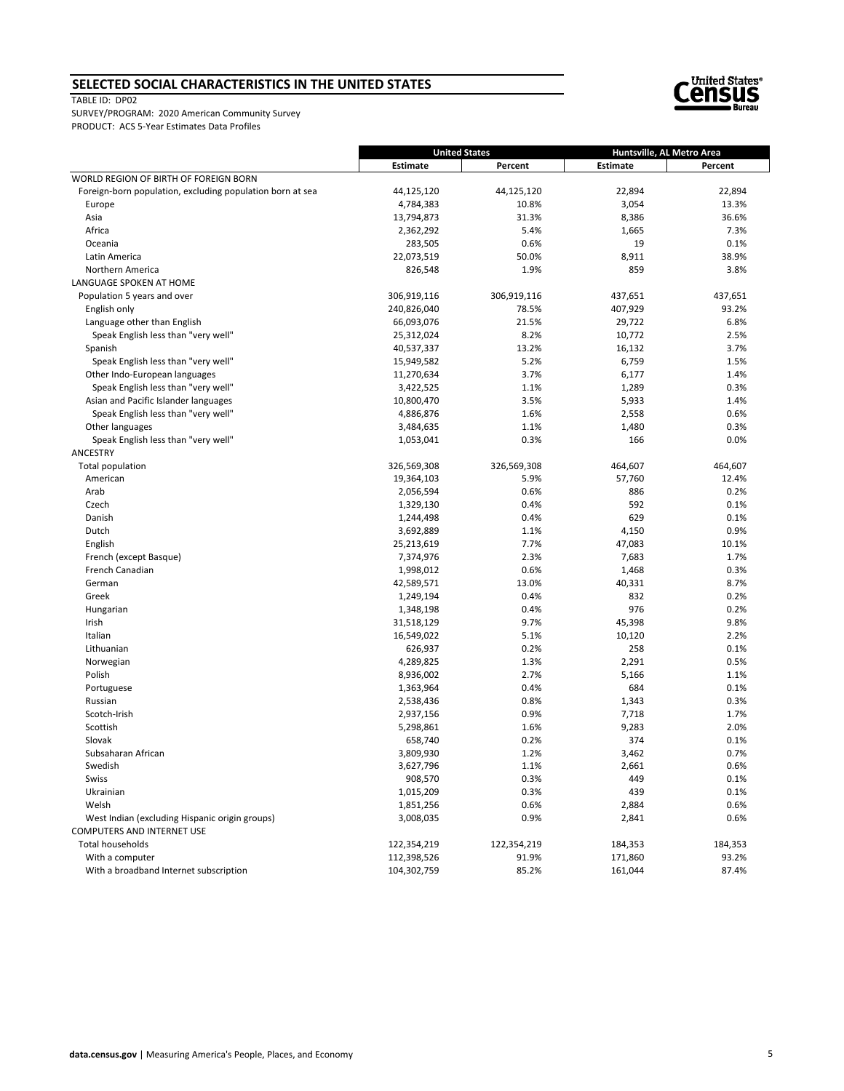#### **SELECTED SOCIAL CHARACTERISTICS IN THE UNITED STATES**

TABLE ID: DP02



|                                                           | <b>United States</b> |             | Huntsville, AL Metro Area |         |
|-----------------------------------------------------------|----------------------|-------------|---------------------------|---------|
|                                                           | <b>Estimate</b>      | Percent     | Estimate                  | Percent |
| WORLD REGION OF BIRTH OF FOREIGN BORN                     |                      |             |                           |         |
| Foreign-born population, excluding population born at sea | 44,125,120           | 44,125,120  | 22,894                    | 22,894  |
| Europe                                                    | 4,784,383            | 10.8%       | 3,054                     | 13.3%   |
| Asia                                                      | 13,794,873           | 31.3%       | 8,386                     | 36.6%   |
| Africa                                                    | 2,362,292            | 5.4%        | 1,665                     | 7.3%    |
| Oceania                                                   | 283,505              | 0.6%        | 19                        | 0.1%    |
| Latin America                                             | 22,073,519           | 50.0%       | 8,911                     | 38.9%   |
| Northern America                                          | 826,548              | 1.9%        | 859                       | 3.8%    |
| LANGUAGE SPOKEN AT HOME                                   |                      |             |                           |         |
| Population 5 years and over                               | 306,919,116          | 306,919,116 | 437,651                   | 437,651 |
| English only                                              | 240,826,040          | 78.5%       | 407,929                   | 93.2%   |
| Language other than English                               | 66,093,076           | 21.5%       | 29,722                    | 6.8%    |
| Speak English less than "very well"                       | 25,312,024           | 8.2%        | 10,772                    | 2.5%    |
| Spanish                                                   | 40,537,337           | 13.2%       | 16,132                    | 3.7%    |
| Speak English less than "very well"                       | 15,949,582           | 5.2%        | 6,759                     | 1.5%    |
| Other Indo-European languages                             | 11,270,634           | 3.7%        | 6,177                     | 1.4%    |
| Speak English less than "very well"                       | 3,422,525            | 1.1%        | 1,289                     | 0.3%    |
| Asian and Pacific Islander languages                      | 10,800,470           | 3.5%        | 5,933                     | 1.4%    |
| Speak English less than "very well"                       | 4,886,876            | 1.6%        | 2,558                     | 0.6%    |
| Other languages                                           | 3,484,635            | 1.1%        | 1,480                     | 0.3%    |
| Speak English less than "very well"                       | 1,053,041            | 0.3%        | 166                       | 0.0%    |
| ANCESTRY                                                  |                      |             |                           |         |
| Total population                                          | 326,569,308          | 326,569,308 | 464,607                   | 464,607 |
| American                                                  | 19,364,103           | 5.9%        | 57,760                    | 12.4%   |
| Arab                                                      | 2,056,594            | 0.6%        | 886                       | 0.2%    |
| Czech                                                     | 1,329,130            | 0.4%        | 592                       | 0.1%    |
| Danish                                                    | 1,244,498            | 0.4%        | 629                       | 0.1%    |
| Dutch                                                     | 3,692,889            | 1.1%        | 4,150                     | 0.9%    |
| English                                                   | 25,213,619           | 7.7%        | 47,083                    | 10.1%   |
| French (except Basque)                                    | 7,374,976            | 2.3%        | 7,683                     | 1.7%    |
| French Canadian                                           | 1,998,012            | 0.6%        | 1,468                     | 0.3%    |
| German                                                    | 42,589,571           | 13.0%       | 40,331                    | 8.7%    |
| Greek                                                     | 1,249,194            | 0.4%        | 832                       | 0.2%    |
| Hungarian                                                 | 1,348,198            | 0.4%        | 976                       | 0.2%    |
| Irish                                                     | 31,518,129           | 9.7%        | 45,398                    | 9.8%    |
| Italian                                                   | 16,549,022           | 5.1%        | 10,120                    | 2.2%    |
| Lithuanian                                                | 626,937              | 0.2%        | 258                       | 0.1%    |
| Norwegian                                                 | 4,289,825            | 1.3%        | 2,291                     | 0.5%    |
| Polish                                                    | 8,936,002            | 2.7%        | 5,166                     | 1.1%    |
| Portuguese                                                | 1,363,964            | 0.4%        | 684                       | 0.1%    |
| Russian                                                   | 2,538,436            | 0.8%        | 1,343                     | 0.3%    |
| Scotch-Irish                                              | 2,937,156            | 0.9%        | 7,718                     | 1.7%    |
| Scottish                                                  | 5,298,861            | 1.6%        | 9,283                     | 2.0%    |
| Slovak                                                    | 658,740              | 0.2%        | 374                       | 0.1%    |
| Subsaharan African                                        | 3,809,930            | 1.2%        | 3,462                     | 0.7%    |
| Swedish                                                   | 3,627,796            | 1.1%        | 2,661                     | 0.6%    |
| Swiss                                                     | 908,570              | 0.3%        | 449                       | 0.1%    |
| Ukrainian                                                 | 1,015,209            | 0.3%        | 439                       | 0.1%    |
| Welsh                                                     | 1,851,256            | 0.6%        | 2,884                     | 0.6%    |
| West Indian (excluding Hispanic origin groups)            | 3,008,035            | 0.9%        | 2,841                     | 0.6%    |
| <b>COMPUTERS AND INTERNET USE</b>                         |                      |             |                           |         |
| Total households                                          | 122,354,219          | 122,354,219 | 184,353                   | 184,353 |
| With a computer                                           | 112,398,526          | 91.9%       | 171,860                   | 93.2%   |
| With a broadband Internet subscription                    | 104,302,759          | 85.2%       | 161,044                   | 87.4%   |
|                                                           |                      |             |                           |         |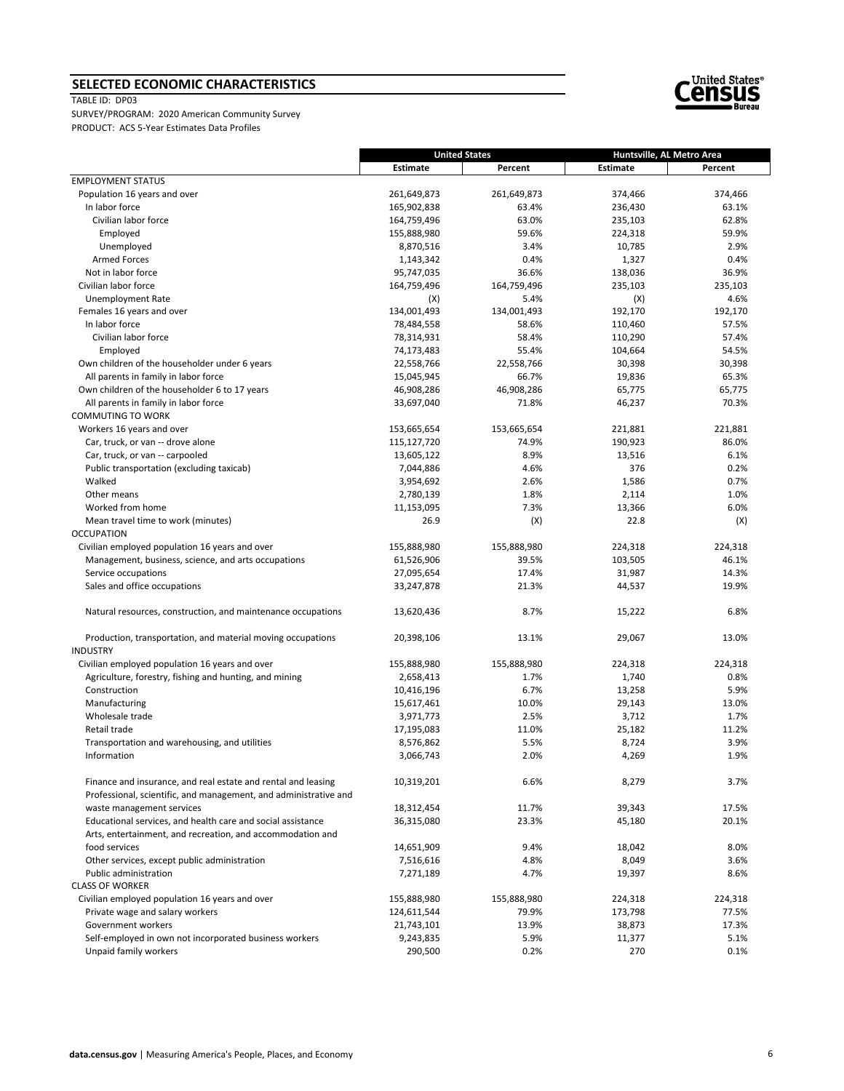# **SELECTED ECONOMIC CHARACTERISTICS**

TABLE ID: DP03



|                                                                                | <b>United States</b> |             | Huntsville, AL Metro Area |         |
|--------------------------------------------------------------------------------|----------------------|-------------|---------------------------|---------|
|                                                                                | <b>Estimate</b>      | Percent     | Estimate                  | Percent |
| <b>EMPLOYMENT STATUS</b>                                                       |                      |             |                           |         |
| Population 16 years and over                                                   | 261,649,873          | 261,649,873 | 374,466                   | 374,466 |
| In labor force                                                                 | 165,902,838          | 63.4%       | 236,430                   | 63.1%   |
| Civilian labor force                                                           | 164,759,496          | 63.0%       | 235,103                   | 62.8%   |
| Employed                                                                       | 155,888,980          | 59.6%       | 224,318                   | 59.9%   |
| Unemployed                                                                     | 8,870,516            | 3.4%        | 10,785                    | 2.9%    |
| <b>Armed Forces</b>                                                            | 1,143,342            | 0.4%        | 1,327                     | 0.4%    |
| Not in labor force                                                             | 95,747,035           | 36.6%       | 138,036                   | 36.9%   |
| Civilian labor force                                                           | 164,759,496          | 164,759,496 | 235,103                   | 235,103 |
| <b>Unemployment Rate</b>                                                       | (X)                  | 5.4%        | (X)                       | 4.6%    |
| Females 16 years and over                                                      | 134,001,493          | 134,001,493 | 192,170                   | 192,170 |
| In labor force                                                                 | 78,484,558           | 58.6%       | 110,460                   | 57.5%   |
| Civilian labor force                                                           | 78,314,931           | 58.4%       | 110,290                   | 57.4%   |
| Employed                                                                       | 74,173,483           | 55.4%       | 104,664                   | 54.5%   |
| Own children of the householder under 6 years                                  | 22,558,766           | 22,558,766  | 30,398                    | 30,398  |
| All parents in family in labor force                                           | 15,045,945           | 66.7%       | 19,836                    | 65.3%   |
| Own children of the householder 6 to 17 years                                  | 46,908,286           | 46,908,286  | 65,775                    | 65,775  |
| All parents in family in labor force                                           | 33,697,040           | 71.8%       | 46,237                    | 70.3%   |
| <b>COMMUTING TO WORK</b>                                                       |                      |             |                           |         |
| Workers 16 years and over                                                      | 153,665,654          | 153,665,654 | 221,881                   | 221,881 |
| Car, truck, or van -- drove alone                                              | 115,127,720          | 74.9%       | 190,923                   | 86.0%   |
| Car, truck, or van -- carpooled                                                | 13,605,122           | 8.9%        | 13,516                    | 6.1%    |
| Public transportation (excluding taxicab)                                      | 7,044,886            | 4.6%        | 376                       | 0.2%    |
| Walked                                                                         | 3,954,692            | 2.6%        | 1,586                     | 0.7%    |
| Other means                                                                    | 2,780,139            | 1.8%        | 2,114                     | 1.0%    |
| Worked from home                                                               | 11,153,095           | 7.3%        | 13,366                    | 6.0%    |
| Mean travel time to work (minutes)                                             | 26.9                 | (X)         | 22.8                      | (X)     |
| <b>OCCUPATION</b>                                                              |                      |             |                           |         |
| Civilian employed population 16 years and over                                 | 155,888,980          |             |                           |         |
|                                                                                |                      | 155,888,980 | 224,318                   | 224,318 |
| Management, business, science, and arts occupations                            | 61,526,906           | 39.5%       | 103,505                   | 46.1%   |
| Service occupations                                                            | 27,095,654           | 17.4%       | 31,987                    | 14.3%   |
| Sales and office occupations                                                   | 33,247,878           | 21.3%       | 44,537                    | 19.9%   |
| Natural resources, construction, and maintenance occupations                   | 13,620,436           | 8.7%        | 15,222                    | 6.8%    |
|                                                                                |                      |             |                           |         |
| Production, transportation, and material moving occupations<br><b>INDUSTRY</b> | 20,398,106           | 13.1%       | 29,067                    | 13.0%   |
| Civilian employed population 16 years and over                                 | 155,888,980          | 155,888,980 | 224,318                   | 224,318 |
| Agriculture, forestry, fishing and hunting, and mining                         | 2,658,413            | 1.7%        | 1,740                     | 0.8%    |
| Construction                                                                   |                      | 6.7%        | 13,258                    | 5.9%    |
| Manufacturing                                                                  | 10,416,196           |             |                           |         |
|                                                                                | 15,617,461           | 10.0%       | 29,143                    | 13.0%   |
| Wholesale trade                                                                | 3,971,773            | 2.5%        | 3,712                     | 1.7%    |
| Retail trade                                                                   | 17,195,083           | 11.0%       | 25,182                    | 11.2%   |
| Transportation and warehousing, and utilities                                  | 8,576,862            | 5.5%        | 8,724                     | 3.9%    |
| Information                                                                    | 3,066,743            | 2.0%        | 4,269                     | 1.9%    |
|                                                                                |                      |             |                           | 3.7%    |
| Finance and insurance, and real estate and rental and leasing                  | 10,319,201           | 6.6%        | 8,279                     |         |
| Professional, scientific, and management, and administrative and               |                      |             |                           |         |
| waste management services                                                      | 18,312,454           | 11.7%       | 39,343                    | 17.5%   |
| Educational services, and health care and social assistance                    | 36,315,080           | 23.3%       | 45,180                    | 20.1%   |
| Arts, entertainment, and recreation, and accommodation and                     |                      |             |                           |         |
| food services                                                                  | 14,651,909           | 9.4%        | 18,042                    | 8.0%    |
| Other services, except public administration                                   | 7,516,616            | 4.8%        | 8,049                     | 3.6%    |
| Public administration                                                          | 7,271,189            | 4.7%        | 19,397                    | 8.6%    |
| <b>CLASS OF WORKER</b>                                                         |                      |             |                           |         |
| Civilian employed population 16 years and over                                 | 155,888,980          | 155,888,980 | 224,318                   | 224,318 |
| Private wage and salary workers                                                | 124,611,544          | 79.9%       | 173,798                   | 77.5%   |
| Government workers                                                             | 21,743,101           | 13.9%       | 38,873                    | 17.3%   |
| Self-employed in own not incorporated business workers                         | 9,243,835            | 5.9%        | 11,377                    | 5.1%    |
| Unpaid family workers                                                          | 290,500              | 0.2%        | 270                       | 0.1%    |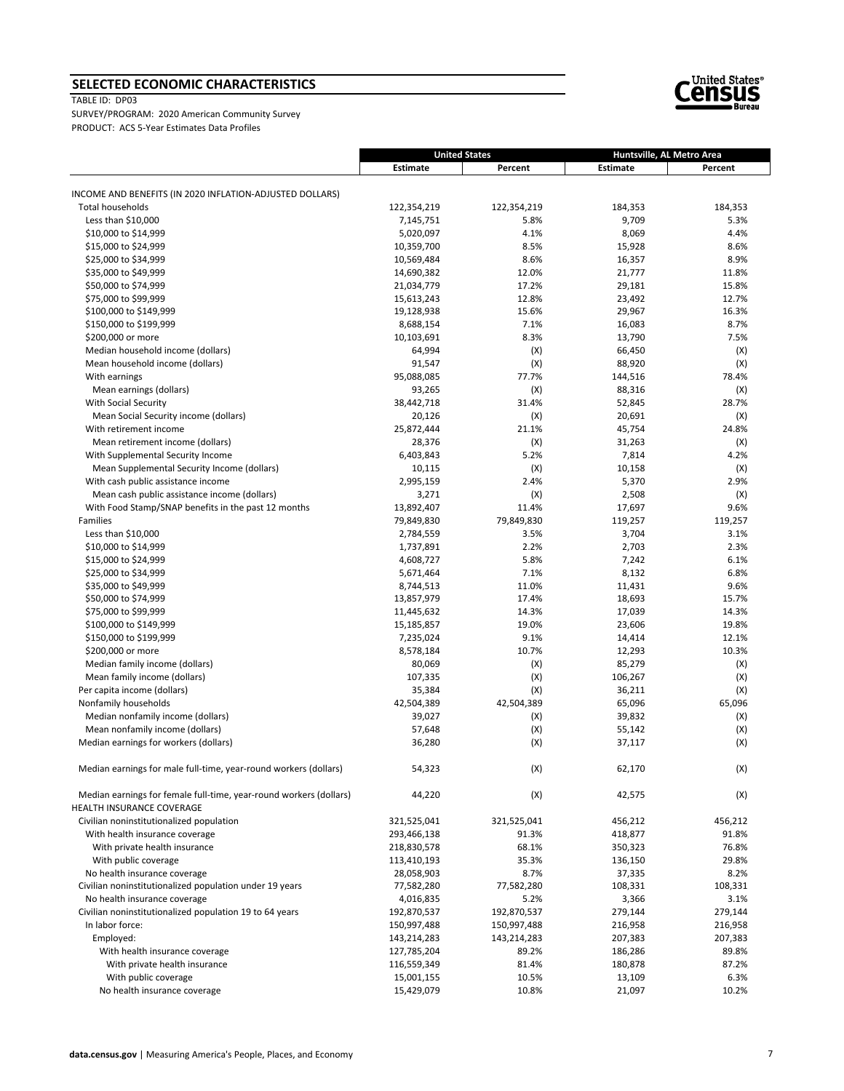# **SELECTED ECONOMIC CHARACTERISTICS**

TABLE ID: DP03

SURVEY/PROGRAM: 2020 American Community Survey PRODUCT: ACS 5‐Year Estimates Data Profiles

|                                                                                                 | Estimate    | Percent     | Estimate | Percent |
|-------------------------------------------------------------------------------------------------|-------------|-------------|----------|---------|
|                                                                                                 |             |             |          |         |
| INCOME AND BENEFITS (IN 2020 INFLATION-ADJUSTED DOLLARS)<br>Total households                    | 122,354,219 | 122,354,219 | 184,353  | 184,353 |
| Less than \$10,000                                                                              | 7,145,751   | 5.8%        | 9,709    | 5.3%    |
| \$10,000 to \$14,999                                                                            | 5,020,097   | 4.1%        | 8,069    | 4.4%    |
| \$15,000 to \$24,999                                                                            | 10,359,700  | 8.5%        | 15,928   | 8.6%    |
| \$25,000 to \$34,999                                                                            | 10,569,484  | 8.6%        | 16,357   | 8.9%    |
| \$35,000 to \$49,999                                                                            | 14,690,382  | 12.0%       | 21,777   | 11.8%   |
| \$50,000 to \$74,999                                                                            | 21,034,779  | 17.2%       | 29,181   | 15.8%   |
| \$75,000 to \$99,999                                                                            | 15,613,243  | 12.8%       | 23,492   | 12.7%   |
| \$100,000 to \$149,999                                                                          | 19,128,938  | 15.6%       | 29,967   | 16.3%   |
| \$150,000 to \$199,999                                                                          | 8,688,154   | 7.1%        | 16,083   | 8.7%    |
| \$200,000 or more                                                                               | 10,103,691  | 8.3%        | 13,790   | 7.5%    |
| Median household income (dollars)                                                               | 64,994      | (X)         | 66,450   | (X)     |
| Mean household income (dollars)                                                                 | 91,547      | (X)         | 88,920   | (X)     |
| With earnings                                                                                   | 95,088,085  | 77.7%       | 144,516  | 78.4%   |
| Mean earnings (dollars)                                                                         | 93,265      | (X)         | 88,316   | (X)     |
| <b>With Social Security</b>                                                                     | 38,442,718  | 31.4%       | 52,845   | 28.7%   |
| Mean Social Security income (dollars)                                                           | 20,126      | (X)         | 20,691   | (X)     |
| With retirement income                                                                          | 25,872,444  | 21.1%       | 45,754   | 24.8%   |
| Mean retirement income (dollars)                                                                | 28,376      | (X)         | 31,263   | (X)     |
| With Supplemental Security Income                                                               | 6,403,843   | 5.2%        | 7,814    | 4.2%    |
| Mean Supplemental Security Income (dollars)                                                     | 10,115      | (X)         | 10,158   | (X)     |
| With cash public assistance income                                                              | 2,995,159   | 2.4%        | 5,370    | 2.9%    |
| Mean cash public assistance income (dollars)                                                    | 3,271       | (X)         | 2,508    | (X)     |
| With Food Stamp/SNAP benefits in the past 12 months                                             | 13,892,407  | 11.4%       | 17,697   | 9.6%    |
| Families                                                                                        | 79,849,830  | 79,849,830  | 119,257  | 119,257 |
| Less than \$10,000                                                                              | 2,784,559   | 3.5%        | 3,704    | 3.1%    |
| \$10,000 to \$14,999                                                                            | 1,737,891   | 2.2%        | 2,703    | 2.3%    |
| \$15,000 to \$24,999                                                                            | 4,608,727   | 5.8%        | 7,242    | 6.1%    |
| \$25,000 to \$34,999                                                                            | 5,671,464   | 7.1%        | 8,132    | 6.8%    |
| \$35,000 to \$49,999                                                                            | 8,744,513   | 11.0%       | 11,431   | 9.6%    |
| \$50,000 to \$74,999                                                                            | 13,857,979  | 17.4%       | 18,693   | 15.7%   |
| \$75,000 to \$99,999                                                                            | 11,445,632  | 14.3%       | 17,039   | 14.3%   |
| \$100,000 to \$149,999                                                                          | 15,185,857  | 19.0%       | 23,606   | 19.8%   |
| \$150,000 to \$199,999                                                                          | 7,235,024   | 9.1%        | 14,414   | 12.1%   |
| \$200,000 or more                                                                               | 8,578,184   | 10.7%       | 12,293   | 10.3%   |
| Median family income (dollars)                                                                  | 80,069      | (X)         | 85,279   | (X)     |
| Mean family income (dollars)                                                                    | 107,335     | (X)         | 106,267  | (X)     |
| Per capita income (dollars)                                                                     | 35,384      | (X)         | 36,211   | (X)     |
| Nonfamily households                                                                            | 42,504,389  | 42,504,389  | 65,096   | 65,096  |
| Median nonfamily income (dollars)                                                               | 39,027      | (X)         | 39,832   | (X)     |
| Mean nonfamily income (dollars)                                                                 | 57,648      | (X)         | 55,142   | (X)     |
| Median earnings for workers (dollars)                                                           | 36,280      | (X)         | 37,117   | (X)     |
| Median earnings for male full-time, year-round workers (dollars)                                | 54,323      | (X)         | 62,170   | (X)     |
| Median earnings for female full-time, year-round workers (dollars)<br>HEALTH INSURANCE COVERAGE | 44,220      | (X)         | 42,575   | (X)     |
| Civilian noninstitutionalized population                                                        | 321,525,041 | 321,525,041 | 456,212  | 456,212 |
| With health insurance coverage                                                                  | 293,466,138 | 91.3%       | 418,877  | 91.8%   |
| With private health insurance                                                                   | 218,830,578 | 68.1%       | 350,323  | 76.8%   |
| With public coverage                                                                            | 113,410,193 | 35.3%       | 136,150  | 29.8%   |
| No health insurance coverage                                                                    | 28,058,903  | 8.7%        | 37,335   | 8.2%    |
| Civilian noninstitutionalized population under 19 years                                         | 77,582,280  | 77,582,280  | 108,331  | 108,331 |
| No health insurance coverage                                                                    | 4,016,835   | 5.2%        | 3,366    | 3.1%    |
| Civilian noninstitutionalized population 19 to 64 years                                         | 192,870,537 | 192,870,537 | 279,144  | 279,144 |
| In labor force:                                                                                 | 150,997,488 | 150,997,488 | 216,958  | 216,958 |
| Employed:                                                                                       | 143,214,283 | 143,214,283 | 207,383  | 207,383 |
| With health insurance coverage                                                                  | 127,785,204 | 89.2%       | 186,286  | 89.8%   |
| With private health insurance                                                                   | 116,559,349 | 81.4%       | 180,878  | 87.2%   |
| With public coverage                                                                            | 15,001,155  | 10.5%       | 13,109   | 6.3%    |
| No health insurance coverage                                                                    | 15,429,079  | 10.8%       | 21,097   | 10.2%   |



**United States Huntsville, AL Metro Area**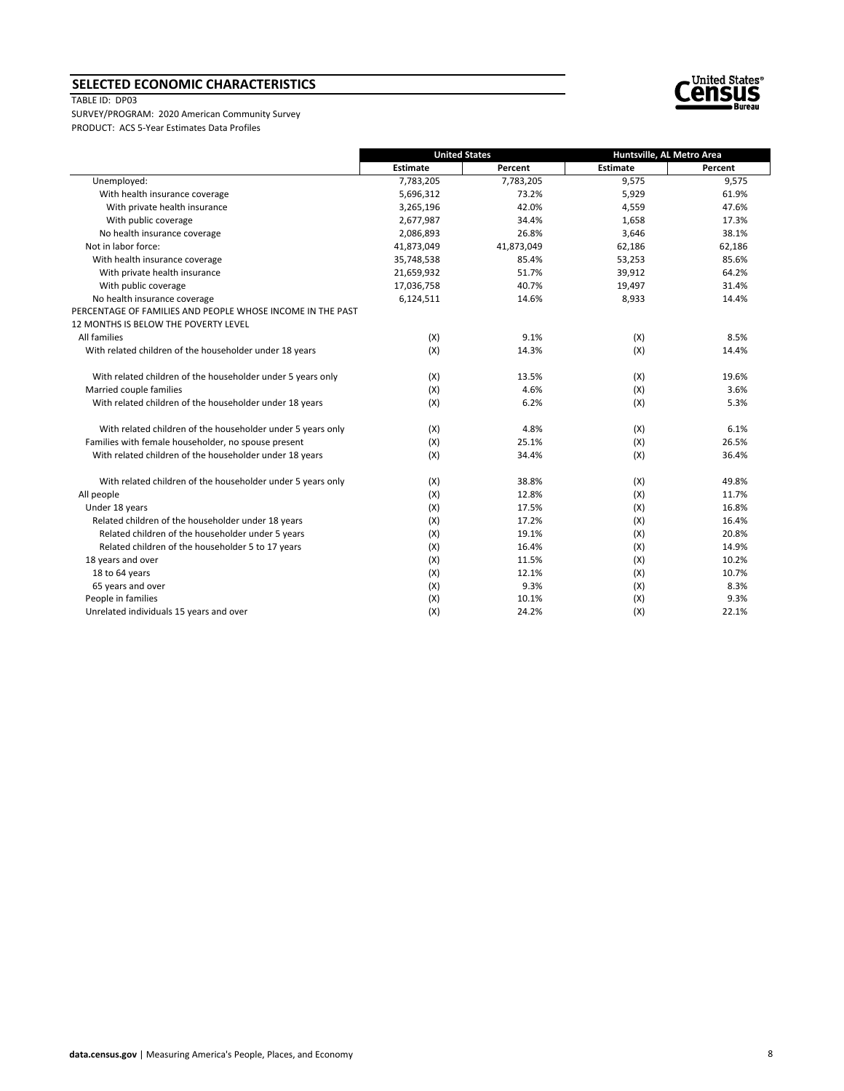## **SELECTED ECONOMIC CHARACTERISTICS**

#### TABLE ID: DP03



|                                                             |            | <b>United States</b> | Huntsville, AL Metro Area |         |
|-------------------------------------------------------------|------------|----------------------|---------------------------|---------|
|                                                             | Estimate   | Percent              | <b>Estimate</b>           | Percent |
| Unemployed:                                                 | 7,783,205  | 7,783,205            | 9,575                     | 9,575   |
| With health insurance coverage                              | 5,696,312  | 73.2%                | 5,929                     | 61.9%   |
| With private health insurance                               | 3,265,196  | 42.0%                | 4,559                     | 47.6%   |
| With public coverage                                        | 2,677,987  | 34.4%                | 1,658                     | 17.3%   |
| No health insurance coverage                                | 2,086,893  | 26.8%                | 3,646                     | 38.1%   |
| Not in labor force:                                         | 41,873,049 | 41,873,049           | 62,186                    | 62,186  |
| With health insurance coverage                              | 35,748,538 | 85.4%                | 53,253                    | 85.6%   |
| With private health insurance                               | 21,659,932 | 51.7%                | 39,912                    | 64.2%   |
| With public coverage                                        | 17,036,758 | 40.7%                | 19,497                    | 31.4%   |
| No health insurance coverage                                | 6,124,511  | 14.6%                | 8,933                     | 14.4%   |
| PERCENTAGE OF FAMILIES AND PEOPLE WHOSE INCOME IN THE PAST  |            |                      |                           |         |
| 12 MONTHS IS BELOW THE POVERTY LEVEL                        |            |                      |                           |         |
| All families                                                | (X)        | 9.1%                 | (X)                       | 8.5%    |
| With related children of the householder under 18 years     | (X)        | 14.3%                | (X)                       | 14.4%   |
| With related children of the householder under 5 years only | (X)        | 13.5%                | (X)                       | 19.6%   |
| Married couple families                                     | (X)        | 4.6%                 | (X)                       | 3.6%    |
| With related children of the householder under 18 years     | (X)        | 6.2%                 | (X)                       | 5.3%    |
| With related children of the householder under 5 years only | (X)        | 4.8%                 | (X)                       | 6.1%    |
| Families with female householder, no spouse present         | (X)        | 25.1%                | (X)                       | 26.5%   |
| With related children of the householder under 18 years     | (X)        | 34.4%                | (X)                       | 36.4%   |
| With related children of the householder under 5 years only | (X)        | 38.8%                | (X)                       | 49.8%   |
| All people                                                  | (X)        | 12.8%                | (X)                       | 11.7%   |
| Under 18 years                                              | (X)        | 17.5%                | (X)                       | 16.8%   |
| Related children of the householder under 18 years          | (X)        | 17.2%                | (X)                       | 16.4%   |
| Related children of the householder under 5 years           | (X)        | 19.1%                | (X)                       | 20.8%   |
| Related children of the householder 5 to 17 years           | (X)        | 16.4%                | (X)                       | 14.9%   |
| 18 years and over                                           | (X)        | 11.5%                | (X)                       | 10.2%   |
| 18 to 64 years                                              | (X)        | 12.1%                | (X)                       | 10.7%   |
| 65 years and over                                           | (X)        | 9.3%                 | (X)                       | 8.3%    |
| People in families                                          | (X)        | 10.1%                | (X)                       | 9.3%    |
| Unrelated individuals 15 years and over                     | (X)        | 24.2%                | (X)                       | 22.1%   |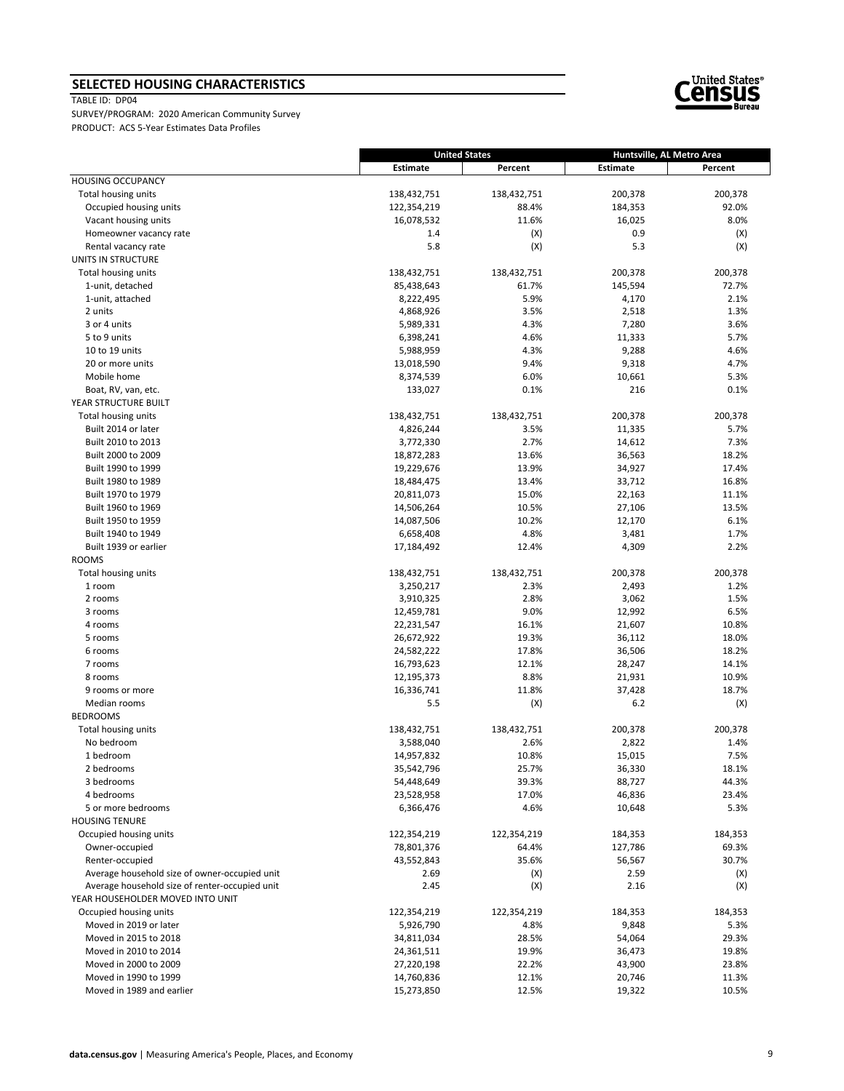# **SELECTED HOUSING CHARACTERISTICS**

TABLE ID: DP04



|                                                | <b>United States</b> |             | Huntsville, AL Metro Area |                |
|------------------------------------------------|----------------------|-------------|---------------------------|----------------|
|                                                | Estimate             | Percent     | Estimate                  | Percent        |
| <b>HOUSING OCCUPANCY</b>                       |                      |             |                           |                |
| Total housing units                            | 138,432,751          | 138,432,751 | 200,378                   | 200,378        |
| Occupied housing units                         | 122,354,219          | 88.4%       | 184,353                   | 92.0%          |
| Vacant housing units                           | 16,078,532           | 11.6%       | 16,025                    | 8.0%           |
| Homeowner vacancy rate                         | 1.4                  | (X)         | 0.9                       | (X)            |
| Rental vacancy rate                            | 5.8                  | (X)         | 5.3                       | (X)            |
| UNITS IN STRUCTURE                             |                      |             |                           |                |
| Total housing units                            | 138,432,751          | 138,432,751 | 200,378                   | 200,378        |
| 1-unit, detached                               | 85,438,643           | 61.7%       | 145,594                   | 72.7%          |
| 1-unit, attached                               | 8,222,495            | 5.9%        | 4,170                     | 2.1%           |
| 2 units                                        | 4,868,926            | 3.5%        | 2,518                     | 1.3%           |
| 3 or 4 units                                   | 5,989,331            | 4.3%        | 7,280                     | 3.6%           |
| 5 to 9 units                                   | 6,398,241            | 4.6%        | 11,333                    | 5.7%           |
| 10 to 19 units                                 | 5,988,959            | 4.3%        | 9,288                     | 4.6%           |
| 20 or more units                               | 13,018,590           | 9.4%        | 9,318                     | 4.7%           |
| Mobile home                                    | 8,374,539            | 6.0%        | 10,661                    | 5.3%           |
| Boat, RV, van, etc.                            | 133,027              | 0.1%        | 216                       | 0.1%           |
| YEAR STRUCTURE BUILT                           |                      |             |                           |                |
| Total housing units                            | 138,432,751          | 138,432,751 | 200,378                   | 200,378        |
| Built 2014 or later                            | 4,826,244            | 3.5%        | 11,335                    | 5.7%           |
| Built 2010 to 2013                             | 3,772,330            | 2.7%        | 14,612                    | 7.3%           |
| Built 2000 to 2009                             | 18,872,283           | 13.6%       | 36,563                    | 18.2%          |
| Built 1990 to 1999                             | 19,229,676           | 13.9%       | 34,927                    | 17.4%          |
| Built 1980 to 1989                             | 18,484,475           | 13.4%       | 33,712                    | 16.8%          |
| Built 1970 to 1979                             | 20,811,073           | 15.0%       | 22,163                    | 11.1%          |
| Built 1960 to 1969                             | 14,506,264           | 10.5%       | 27,106                    | 13.5%          |
| Built 1950 to 1959                             | 14,087,506           | 10.2%       | 12,170                    | 6.1%           |
| Built 1940 to 1949                             | 6,658,408            | 4.8%        | 3,481                     | 1.7%           |
| Built 1939 or earlier                          | 17,184,492           | 12.4%       | 4,309                     | 2.2%           |
| <b>ROOMS</b>                                   |                      |             |                           |                |
| Total housing units                            | 138,432,751          | 138,432,751 | 200,378                   | 200,378        |
| 1 room                                         | 3,250,217            | 2.3%        | 2,493                     | 1.2%           |
| 2 rooms                                        | 3,910,325            | 2.8%        | 3,062                     | 1.5%           |
| 3 rooms                                        | 12,459,781           | 9.0%        | 12,992                    | 6.5%           |
| 4 rooms                                        | 22,231,547           | 16.1%       | 21,607                    | 10.8%          |
| 5 rooms                                        | 26,672,922           | 19.3%       | 36,112                    | 18.0%          |
| 6 rooms                                        | 24,582,222           | 17.8%       | 36,506                    | 18.2%          |
| 7 rooms                                        | 16,793,623           | 12.1%       | 28,247                    | 14.1%          |
| 8 rooms                                        | 12,195,373           | 8.8%        | 21,931                    | 10.9%          |
| 9 rooms or more                                | 16,336,741           | 11.8%       | 37,428                    | 18.7%          |
| Median rooms                                   | 5.5                  | (X)         | $6.2$                     | (X)            |
| <b>BEDROOMS</b>                                |                      |             |                           |                |
| Total housing units                            | 138,432,751          | 138,432,751 | 200,378                   | 200,378        |
| No bedroom                                     | 3,588,040            | 2.6%        | 2,822                     | 1.4%           |
| 1 bedroom                                      | 14,957,832           | 10.8%       | 15,015                    | 7.5%           |
| 2 bedrooms                                     | 35,542,796           | 25.7%       | 36,330                    | 18.1%          |
|                                                |                      |             |                           |                |
| 3 bedrooms<br>4 bedrooms                       | 54,448,649           | 39.3%       | 88,727<br>46,836          | 44.3%<br>23.4% |
| 5 or more bedrooms                             | 23,528,958           | 17.0%       |                           |                |
|                                                | 6,366,476            | 4.6%        | 10,648                    | 5.3%           |
| <b>HOUSING TENURE</b>                          |                      |             |                           |                |
| Occupied housing units                         | 122,354,219          | 122,354,219 | 184,353                   | 184,353        |
| Owner-occupied                                 | 78,801,376           | 64.4%       | 127,786                   | 69.3%          |
| Renter-occupied                                | 43,552,843           | 35.6%       | 56,567                    | 30.7%          |
| Average household size of owner-occupied unit  | 2.69                 | (X)         | 2.59                      | (X)            |
| Average household size of renter-occupied unit | 2.45                 | (X)         | 2.16                      | (X)            |
| YEAR HOUSEHOLDER MOVED INTO UNIT               |                      |             |                           |                |
| Occupied housing units                         | 122,354,219          | 122,354,219 | 184,353                   | 184,353        |
| Moved in 2019 or later                         | 5,926,790            | 4.8%        | 9,848                     | 5.3%           |
| Moved in 2015 to 2018                          | 34,811,034           | 28.5%       | 54,064                    | 29.3%          |
| Moved in 2010 to 2014                          | 24,361,511           | 19.9%       | 36,473                    | 19.8%          |
| Moved in 2000 to 2009                          | 27,220,198           | 22.2%       | 43,900                    | 23.8%          |
| Moved in 1990 to 1999                          | 14,760,836           | 12.1%       | 20,746                    | 11.3%          |
| Moved in 1989 and earlier                      | 15,273,850           | 12.5%       | 19,322                    | 10.5%          |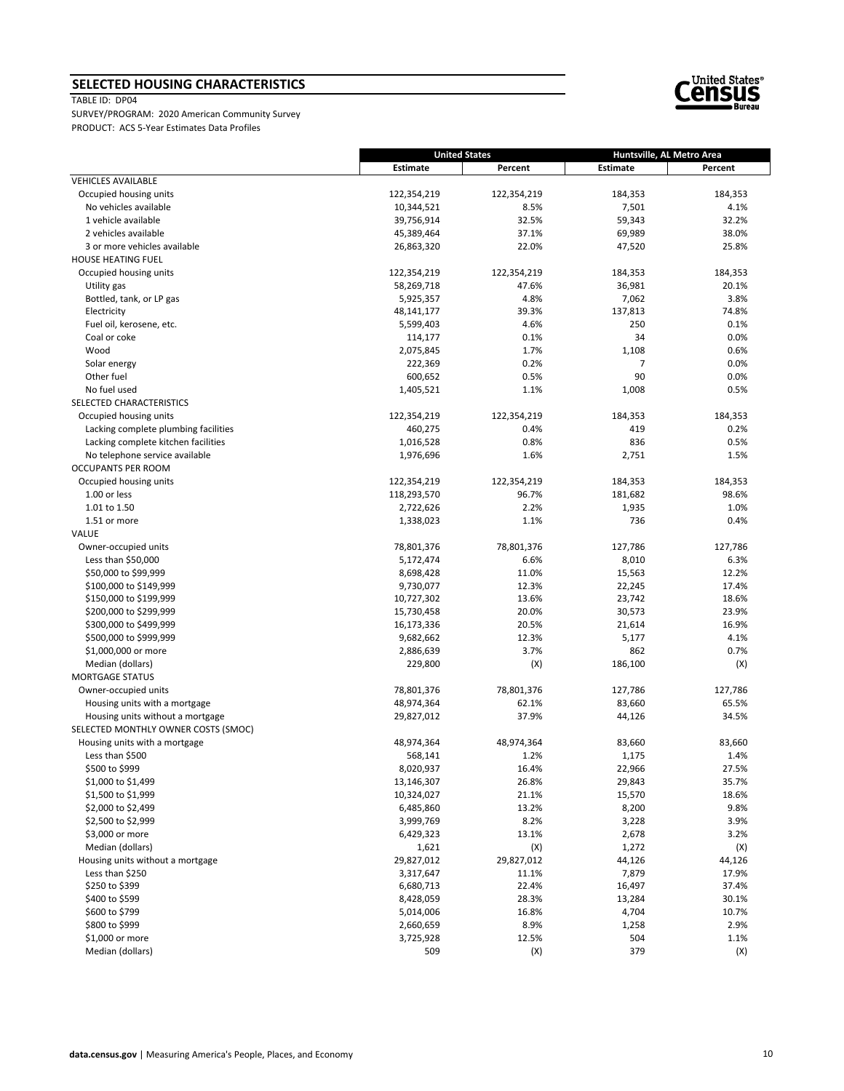# **SELECTED HOUSING CHARACTERISTICS**

TABLE ID: DP04



|                                                  | <b>United States</b>  |                    | Huntsville, AL Metro Area |                |
|--------------------------------------------------|-----------------------|--------------------|---------------------------|----------------|
|                                                  | <b>Estimate</b>       | Percent            | Estimate                  | Percent        |
| <b>VEHICLES AVAILABLE</b>                        |                       |                    |                           |                |
| Occupied housing units                           | 122,354,219           | 122,354,219        | 184,353                   | 184,353        |
| No vehicles available                            | 10,344,521            | 8.5%               | 7,501                     | 4.1%           |
| 1 vehicle available                              | 39,756,914            | 32.5%              | 59,343                    | 32.2%          |
| 2 vehicles available                             | 45,389,464            | 37.1%              | 69,989                    | 38.0%          |
| 3 or more vehicles available                     | 26,863,320            | 22.0%              | 47,520                    | 25.8%          |
| HOUSE HEATING FUEL                               |                       |                    |                           |                |
| Occupied housing units                           | 122,354,219           | 122,354,219        | 184,353                   | 184,353        |
| Utility gas                                      | 58,269,718            | 47.6%              | 36,981                    | 20.1%          |
| Bottled, tank, or LP gas                         | 5,925,357             | 4.8%               | 7,062                     | 3.8%           |
| Electricity                                      | 48,141,177            | 39.3%              | 137,813                   | 74.8%          |
| Fuel oil, kerosene, etc.                         | 5,599,403             | 4.6%               | 250<br>34                 | 0.1%           |
| Coal or coke<br>Wood                             | 114,177<br>2,075,845  | 0.1%<br>1.7%       | 1,108                     | 0.0%<br>0.6%   |
|                                                  | 222,369               | 0.2%               | 7                         | 0.0%           |
| Solar energy<br>Other fuel                       | 600,652               | 0.5%               | 90                        | 0.0%           |
| No fuel used                                     | 1,405,521             | 1.1%               | 1,008                     | 0.5%           |
| SELECTED CHARACTERISTICS                         |                       |                    |                           |                |
| Occupied housing units                           | 122,354,219           | 122,354,219        | 184,353                   | 184,353        |
| Lacking complete plumbing facilities             | 460,275               | 0.4%               | 419                       | 0.2%           |
| Lacking complete kitchen facilities              | 1,016,528             | 0.8%               | 836                       | 0.5%           |
| No telephone service available                   | 1,976,696             | 1.6%               | 2,751                     | 1.5%           |
| OCCUPANTS PER ROOM                               |                       |                    |                           |                |
| Occupied housing units                           | 122,354,219           | 122,354,219        | 184,353                   | 184,353        |
| 1.00 or less                                     | 118,293,570           | 96.7%              | 181,682                   | 98.6%          |
| 1.01 to 1.50                                     | 2,722,626             | 2.2%               | 1,935                     | 1.0%           |
| 1.51 or more                                     | 1,338,023             | 1.1%               | 736                       | 0.4%           |
| VALUE                                            |                       |                    |                           |                |
| Owner-occupied units                             | 78,801,376            | 78,801,376         | 127,786                   | 127,786        |
| Less than $$50,000$                              | 5,172,474             | 6.6%               | 8,010                     | 6.3%           |
| \$50,000 to \$99,999                             | 8,698,428             | 11.0%              | 15,563                    | 12.2%          |
| \$100,000 to \$149,999                           | 9,730,077             | 12.3%              | 22,245                    | 17.4%          |
| \$150,000 to \$199,999                           | 10,727,302            | 13.6%              | 23,742                    | 18.6%          |
| \$200,000 to \$299,999                           | 15,730,458            | 20.0%              | 30,573                    | 23.9%          |
| \$300,000 to \$499,999                           | 16,173,336            | 20.5%              | 21,614                    | 16.9%          |
| \$500,000 to \$999,999                           | 9,682,662             | 12.3%              | 5,177                     | 4.1%           |
| \$1,000,000 or more                              | 2,886,639             | 3.7%               | 862                       | 0.7%           |
| Median (dollars)                                 | 229,800               | (X)                | 186,100                   | (X)            |
| <b>MORTGAGE STATUS</b>                           |                       |                    |                           |                |
| Owner-occupied units                             | 78,801,376            | 78,801,376         | 127,786                   | 127,786        |
| Housing units with a mortgage                    | 48,974,364            | 62.1%              | 83,660                    | 65.5%          |
| Housing units without a mortgage                 | 29,827,012            | 37.9%              | 44,126                    | 34.5%          |
| SELECTED MONTHLY OWNER COSTS (SMOC)              |                       |                    |                           |                |
| Housing units with a mortgage<br>Less than \$500 | 48,974,364<br>568,141 | 48,974,364<br>1.2% | 83,660<br>1,175           | 83,660<br>1.4% |
| \$500 to \$999                                   | 8,020,937             | 16.4%              | 22,966                    | 27.5%          |
| \$1,000 to \$1,499                               | 13,146,307            | 26.8%              | 29,843                    | 35.7%          |
| \$1,500 to \$1,999                               | 10,324,027            | 21.1%              | 15,570                    | 18.6%          |
| \$2,000 to \$2,499                               | 6,485,860             | 13.2%              | 8,200                     | 9.8%           |
| \$2,500 to \$2,999                               | 3,999,769             | 8.2%               | 3,228                     | 3.9%           |
| \$3,000 or more                                  | 6,429,323             | 13.1%              | 2,678                     | 3.2%           |
| Median (dollars)                                 | 1,621                 | (X)                | 1,272                     | (X)            |
| Housing units without a mortgage                 | 29,827,012            | 29,827,012         | 44,126                    | 44,126         |
| Less than \$250                                  | 3,317,647             | 11.1%              | 7,879                     | 17.9%          |
| \$250 to \$399                                   | 6,680,713             | 22.4%              | 16,497                    | 37.4%          |
| \$400 to \$599                                   | 8,428,059             | 28.3%              | 13,284                    | 30.1%          |
| \$600 to \$799                                   | 5,014,006             | 16.8%              | 4,704                     | 10.7%          |
| \$800 to \$999                                   | 2,660,659             | 8.9%               | 1,258                     | 2.9%           |
| \$1,000 or more                                  | 3,725,928             | 12.5%              | 504                       | 1.1%           |
| Median (dollars)                                 | 509                   | (X)                | 379                       | (X)            |